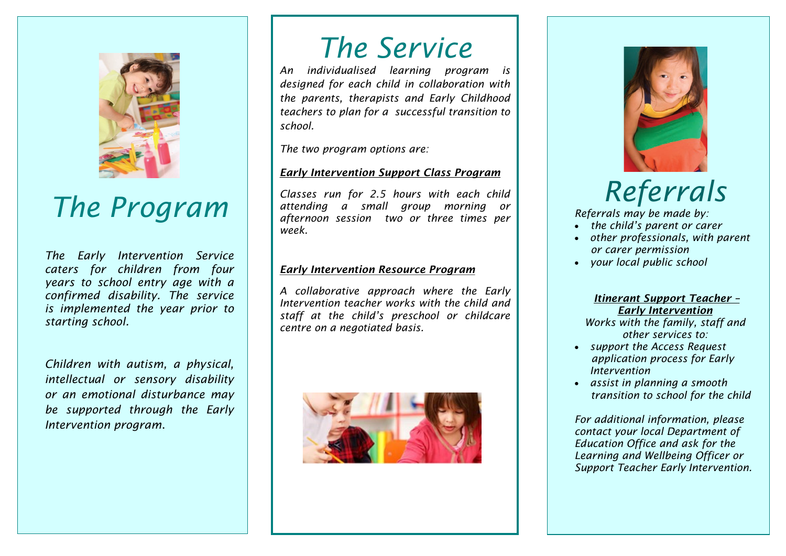

## *The Program*

*The Early Intervention Service caters for children from four years to school entry age with a confirmed disability. The service is implemented the year prior to starting school.*

*Children with autism, a physical, intellectual or sensory disability or an emotional disturbance may be supported through the Early Intervention program*.

### *The Service*

*An individualised learning program is designed for each child in collaboration with the parents, therapists and Early Childhood teachers to plan for a successful transition to school.* 

*The two program options are:*

#### *Early Intervention Support Class Program*

*Classes run for 2.5 hours with each child attending a small group morning or afternoon session two or three times per week.*

#### *Early Intervention Resource Program*

*A collaborative approach where the Early Intervention teacher works with the child and staff at the child's preschool or childcare centre on a negotiated basis.*





### *Referrals*

*Referrals may be made by:*

- *the child's parent or carer*
- *other professionals, with parent or carer permission*
- *your local public school*

#### *Itinerant Support Teacher – Early Intervention*

*Works with the family, staff and other services to:* 

- *support the Access Request application process for Early Intervention*
- *assist in planning a smooth transition to school for the child*

*For additional information, please contact your local Department of Education Office and ask for the Learning and Wellbeing Officer or Support Teacher Early Intervention.*